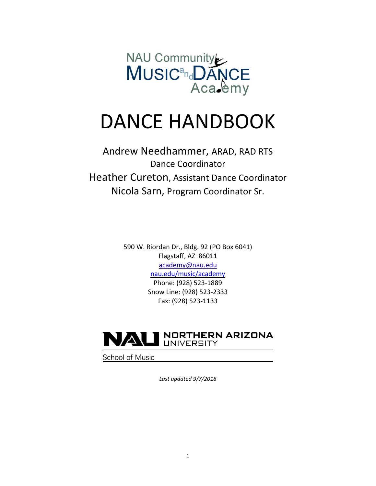

# DANCE HANDBOOK

Andrew Needhammer, ARAD, RAD RTS Dance Coordinator Heather Cureton, Assistant Dance Coordinator Nicola Sarn, Program Coordinator Sr.

> 590 W. Riordan Dr., Bldg. 92 (PO Box 6041) Flagstaff, AZ 86011 [academy@nau.edu](mailto:academy@nau.edu) [nau.edu/music/academy](http://www.nau.edu/academy) Phone: (928) 523-1889 Snow Line: (928) 523-2333 Fax: (928) 523-1133



School of Music

*Last updated 9/7/2018*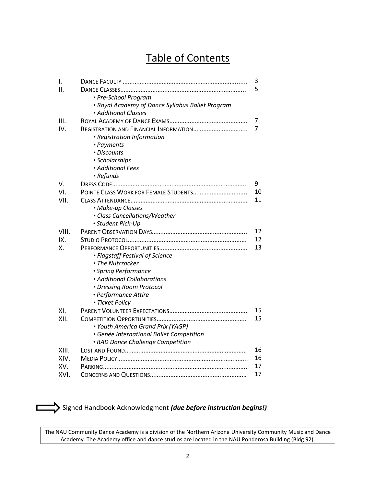## Table of Contents

| I.    |                                                  | 3  |
|-------|--------------------------------------------------|----|
| ΙΙ.   |                                                  | 5  |
|       | • Pre-School Program                             |    |
|       | • Royal Academy of Dance Syllabus Ballet Program |    |
|       | • Additional Classes                             |    |
| III.  |                                                  | 7  |
| IV.   | REGISTRATION AND FINANCIAL INFORMATION           | 7  |
|       | • Registration Information                       |    |
|       | • Payments                                       |    |
|       | · Discounts                                      |    |
|       | · Scholarships                                   |    |
|       | · Additional Fees                                |    |
|       | • Refunds                                        |    |
| V.    |                                                  | 9  |
| VI.   | POINTE CLASS WORK FOR FEMALE STUDENTS            | 10 |
| VII.  |                                                  | 11 |
|       | • Make-up Classes                                |    |
|       | · Class Cancellations/Weather                    |    |
|       | · Student Pick-Up                                |    |
| VIII. |                                                  | 12 |
| IX.   |                                                  | 12 |
| Χ.    |                                                  | 13 |
|       | • Flagstaff Festival of Science                  |    |
|       | • The Nutcracker                                 |    |
|       | · Spring Performance                             |    |
|       | • Additional Collaborations                      |    |
|       | • Dressing Room Protocol                         |    |
|       | • Performance Attire                             |    |
|       | · Ticket Policy                                  |    |
| XI.   |                                                  | 15 |
| XII.  |                                                  | 15 |
|       | • Youth America Grand Prix (YAGP)                |    |
|       | · Genée International Ballet Competition         |    |
|       | · RAD Dance Challenge Competition                |    |
| XIII. |                                                  | 16 |
| XIV.  |                                                  | 16 |
| XV.   |                                                  | 17 |
| XVI.  |                                                  | 17 |



Signed Handbook Acknowledgment *(due before instruction begins!)*

The NAU Community Dance Academy is a division of the Northern Arizona University Community Music and Dance Academy. The Academy office and dance studios are located in the NAU Ponderosa Building (Bldg 92).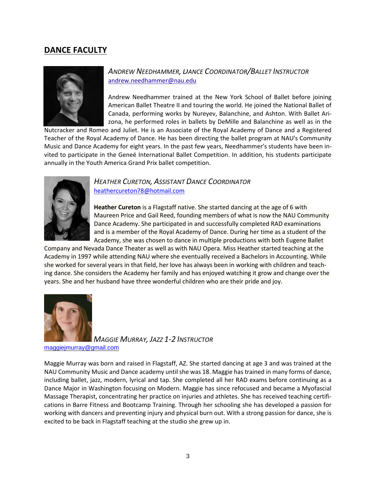### **DANCE FACULTY**



#### *ANDREW NEEDHAMMER, DANCE COORDINATOR/BALLET INSTRUCTOR* [andrew.needhammer@nau.edu](mailto:Andrew.Needhammer@nau.edu)

Andrew Needhammer trained at the New York School of Ballet before joining American Ballet Theatre II and touring the world. He joined the National Ballet of Canada, performing works by Nureyev, Balanchine, and Ashton. With Ballet Arizona, he performed roles in ballets by DeMille and Balanchine as well as in the

Nutcracker and Romeo and Juliet. He is an Associate of the Royal Academy of Dance and a Registered Teacher of the Royal Academy of Dance. He has been directing the ballet program at NAU's Community Music and Dance Academy for eight years. In the past few years, Needhammer's students have been invited to participate in the Geneé International Ballet Competition. In addition, his students participate annually in the Youth America Grand Prix ballet competition.



#### *HEATHER CURETON, ASSISTANT DANCE COORDINATOR* [heathercureton78@hotmail.com](mailto:heathercureton78@hotmail.com)

**Heather Cureton** is a Flagstaff native. She started dancing at the age of 6 with Maureen Price and Gail Reed, founding members of what is now the NAU Community Dance Academy. She participated in and successfully completed RAD examinations and is a member of the Royal Academy of Dance. During her time as a student of the Academy, she was chosen to dance in multiple productions with both Eugene Ballet

Company and Nevada Dance Theater as well as with NAU Opera. Miss Heather started teaching at the Academy in 1997 while attending NAU where she eventually received a Bachelors in Accounting. While she worked for several years in that field, her love has always been in working with children and teaching dance. She considers the Academy her family and has enjoyed watching it grow and change over the years. She and her husband have three wonderful children who are their pride and joy.



*MAGGIE MURRAY, JAZZ 1-2 INSTRUCTOR*

maggiejmurray@gmail.com

Maggie Murray was born and raised in Flagstaff, AZ. She started dancing at age 3 and was trained at the NAU Community Music and Dance academy until she was 18. Maggie has trained in many forms of dance, including ballet, jazz, modern, lyrical and tap. She completed all her RAD exams before continuing as a Dance Major in Washington focusing on Modern. Maggie has since refocused and became a Myofascial Massage Therapist, concentrating her practice on injuries and athletes. She has received teaching certifications in Barre Fitness and Bootcamp Training. Through her schooling she has developed a passion for working with dancers and preventing injury and physical burn out. With a strong passion for dance, she is excited to be back in Flagstaff teaching at the studio she grew up in.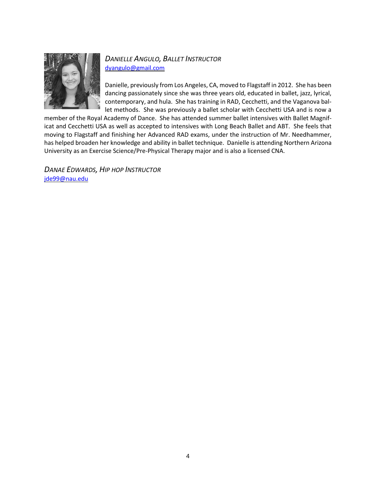

### *DANIELLE ANGULO, BALLET INSTRUCTOR* [dyangulo@gmail.com](mailto:dyangulo@gmail.com)

Danielle, previously from Los Angeles, CA, moved to Flagstaff in 2012. She has been dancing passionately since she was three years old, educated in ballet, jazz, lyrical, contemporary, and hula. She has training in RAD, Cecchetti, and the Vaganova ballet methods. She was previously a ballet scholar with Cecchetti USA and is now a

member of the Royal Academy of Dance. She has attended summer ballet intensives with Ballet Magnificat and Cecchetti USA as well as accepted to intensives with Long Beach Ballet and ABT. She feels that moving to Flagstaff and finishing her Advanced RAD exams, under the instruction of Mr. Needhammer, has helped broaden her knowledge and ability in ballet technique. Danielle is attending Northern Arizona University as an Exercise Science/Pre-Physical Therapy major and is also a licensed CNA.

*DANAE EDWARDS, HIP HOP INSTRUCTOR* [jde99@nau.edu](mailto:jde99@nau.edu)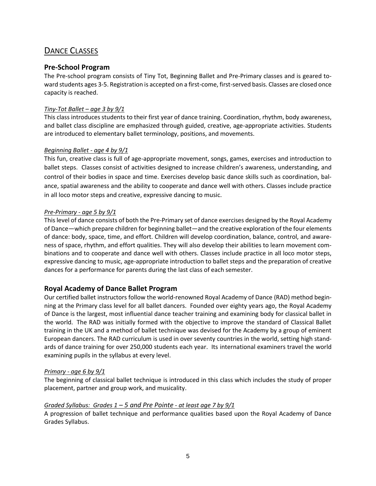### DANCE CLASSES

#### **Pre-School Program**

The Pre-school program consists of Tiny Tot, Beginning Ballet and Pre-Primary classes and is geared toward students ages 3-5. Registration is accepted on a first-come, first-served basis. Classes are closed once capacity is reached.

#### *Tiny-Tot Ballet – age 3 by 9/1*

This class introduces students to their first year of dance training. Coordination, rhythm, body awareness, and ballet class discipline are emphasized through guided, creative, age-appropriate activities. Students are introduced to elementary ballet terminology, positions, and movements.

#### *Beginning Ballet - age 4 by 9/1*

This fun, creative class is full of age-appropriate movement, songs, games, exercises and introduction to ballet steps. Classes consist of activities designed to increase children's awareness, understanding, and control of their bodies in space and time. Exercises develop basic dance skills such as coordination, balance, spatial awareness and the ability to cooperate and dance well with others. Classes include practice in all loco motor steps and creative, expressive dancing to music.

#### *Pre-Primary - age 5 by 9/1*

This level of dance consists of both the Pre-Primary set of dance exercises designed by the Royal Academy of Dance—which prepare children for beginning ballet—and the creative exploration of the four elements of dance: body, space, time, and effort. Children will develop coordination, balance, control, and awareness of space, rhythm, and effort qualities. They will also develop their abilities to learn movement combinations and to cooperate and dance well with others. Classes include practice in all loco motor steps, expressive dancing to music, age-appropriate introduction to ballet steps and the preparation of creative dances for a performance for parents during the last class of each semester.

#### **Royal Academy of Dance Ballet Program**

Our certified ballet instructors follow the world-renowned Royal Academy of Dance (RAD) method beginning at the Primary class level for all ballet dancers. Founded over eighty years ago, the Royal Academy of Dance is the largest, most influential dance teacher training and examining body for classical ballet in the world. The RAD was initially formed with the objective to improve the standard of Classical Ballet training in the UK and a method of ballet technique was devised for the Academy by a group of eminent European dancers. The RAD curriculum is used in over seventy countries in the world, setting high standards of dance training for over 250,000 students each year. Its international examiners travel the world examining pupils in the syllabus at every level.

#### *Primary - age 6 by 9/1*

The beginning of classical ballet technique is introduced in this class which includes the study of proper placement, partner and group work, and musicality.

#### *Graded Syllabus: Grades 1 – 5 and Pre Pointe - at least age 7 by 9/1*

A progression of ballet technique and performance qualities based upon the Royal Academy of Dance Grades Syllabus.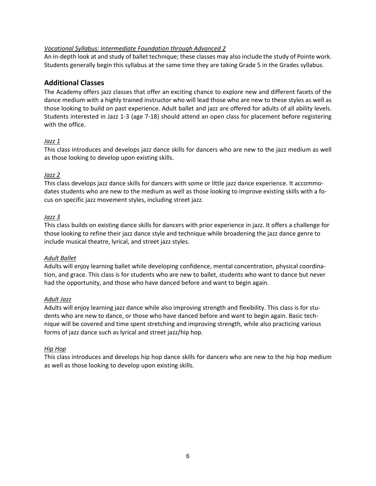#### *Vocational Syllabus: Intermediate Foundation through Advanced 2*

An in-depth look at and study of ballet technique; these classes may also include the study of Pointe work. Students generally begin this syllabus at the same time they are taking Grade 5 in the Grades syllabus.

#### **Additional Classes**

The Academy offers jazz classes that offer an exciting chance to explore new and different facets of the dance medium with a highly trained instructor who will lead those who are new to these styles as well as those looking to build on past experience. Adult ballet and jazz are offered for adults of all ability levels. Students interested in Jazz 1-3 (age 7-18) should attend an open class for placement before registering with the office.

#### *Jazz 1*

This class introduces and develops jazz dance skills for dancers who are new to the jazz medium as well as those looking to develop upon existing skills.

#### *Jazz 2*

This class develops jazz dance skills for dancers with some or little jazz dance experience. It accommodates students who are new to the medium as well as those looking to improve existing skills with a focus on specific jazz movement styles, including street jazz.

#### *Jazz 3*

This class builds on existing dance skills for dancers with prior experience in jazz. It offers a challenge for those looking to refine their jazz dance style and technique while broadening the jazz dance genre to include musical theatre, lyrical, and street jazz styles.

#### *Adult Ballet*

Adults will enjoy learning ballet while developing confidence, mental concentration, physical coordination, and grace. This class is for students who are new to ballet, students who want to dance but never had the opportunity, and those who have danced before and want to begin again.

#### *Adult Jazz*

Adults will enjoy learning jazz dance while also improving strength and flexibility. This class is for students who are new to dance, or those who have danced before and want to begin again. Basic technique will be covered and time spent stretching and improving strength, while also practicing various forms of jazz dance such as lyrical and street jazz/hip hop.

#### *Hip Hop*

This class introduces and develops hip hop dance skills for dancers who are new to the hip hop medium as well as those looking to develop upon existing skills.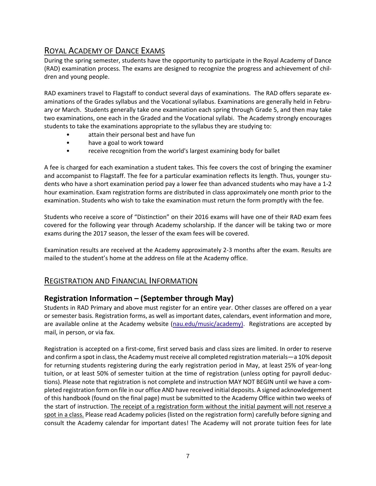### ROYAL ACADEMY OF DANCE EXAMS

During the spring semester, students have the opportunity to participate in the Royal Academy of Dance (RAD) examination process. The exams are designed to recognize the progress and achievement of children and young people.

RAD examiners travel to Flagstaff to conduct several days of examinations. The RAD offers separate examinations of the Grades syllabus and the Vocational syllabus. Examinations are generally held in February or March. Students generally take one examination each spring through Grade 5, and then may take two examinations, one each in the Graded and the Vocational syllabi. The Academy strongly encourages students to take the examinations appropriate to the syllabus they are studying to:

- attain their personal best and have fun
- have a goal to work toward
- receive recognition from the world's largest examining body for ballet

A fee is charged for each examination a student takes. This fee covers the cost of bringing the examiner and accompanist to Flagstaff. The fee for a particular examination reflects its length. Thus, younger students who have a short examination period pay a lower fee than advanced students who may have a 1-2 hour examination. Exam registration forms are distributed in class approximately one month prior to the examination. Students who wish to take the examination must return the form promptly with the fee.

Students who receive a score of "Distinction" on their 2016 exams will have one of their RAD exam fees covered for the following year through Academy scholarship. If the dancer will be taking two or more exams during the 2017 season, the lesser of the exam fees will be covered.

Examination results are received at the Academy approximately 2-3 months after the exam. Results are mailed to the student's home at the address on file at the Academy office.

### REGISTRATION AND FINANCIAL INFORMATION

### **Registration Information – (September through May)**

Students in RAD Primary and above must register for an entire year. Other classes are offered on a year or semester basis. Registration forms, as well as important dates, calendars, event information and more, are available online at the Academy website (nau.edu/music/academy). Registrations are accepted by mail, in person, or via fax.

Registration is accepted on a first-come, first served basis and class sizes are limited. In order to reserve and confirm a spot in class, the Academy must receive all completed registration materials—a 10% deposit for returning students registering during the early registration period in May, at least 25% of year-long tuition, or at least 50% of semester tuition at the time of registration (unless opting for payroll deductions). Please note that registration is not complete and instruction MAY NOT BEGIN until we have a completed registration form on file in our office AND have received initial deposits. A signed acknowledgement of this handbook (found on the final page) must be submitted to the Academy Office within two weeks of the start of instruction. The receipt of a registration form without the initial payment will not reserve a spot in a class. Please read Academy policies (listed on the registration form) carefully before signing and consult the Academy calendar for important dates! The Academy will not prorate tuition fees for late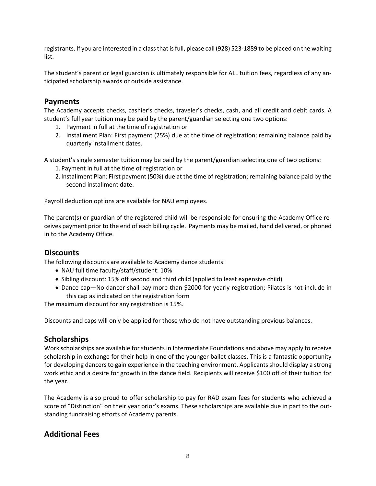registrants. If you are interested in a class that is full, please call (928) 523-1889 to be placed on the waiting list.

The student's parent or legal guardian is ultimately responsible for ALL tuition fees, regardless of any anticipated scholarship awards or outside assistance.

### **Payments**

The Academy accepts checks, cashier's checks, traveler's checks, cash, and all credit and debit cards. A student's full year tuition may be paid by the parent/guardian selecting one two options:

- 1. Payment in full at the time of registration or
- 2. Installment Plan: First payment (25%) due at the time of registration; remaining balance paid by quarterly installment dates.

A student's single semester tuition may be paid by the parent/guardian selecting one of two options:

- 1. Payment in full at the time of registration or
- 2. Installment Plan: First payment (50%) due at the time of registration; remaining balance paid by the second installment date.

Payroll deduction options are available for NAU employees.

The parent(s) or guardian of the registered child will be responsible for ensuring the Academy Office receives payment prior to the end of each billing cycle. Payments may be mailed, hand delivered, or phoned in to the Academy Office.

#### **Discounts**

The following discounts are available to Academy dance students:

- NAU full time faculty/staff/student: 10%
- Sibling discount: 15% off second and third child (applied to least expensive child)
- Dance cap—No dancer shall pay more than \$2000 for yearly registration; Pilates is not include in this cap as indicated on the registration form

The maximum discount for any registration is 15%.

Discounts and caps will only be applied for those who do not have outstanding previous balances.

#### **Scholarships**

Work scholarships are available for students in Intermediate Foundations and above may apply to receive scholarship in exchange for their help in one of the younger ballet classes. This is a fantastic opportunity for developing dancers to gain experience in the teaching environment. Applicants should display a strong work ethic and a desire for growth in the dance field. Recipients will receive \$100 off of their tuition for the year.

The Academy is also proud to offer scholarship to pay for RAD exam fees for students who achieved a score of "Distinction" on their year prior's exams. These scholarships are available due in part to the outstanding fundraising efforts of Academy parents.

### **Additional Fees**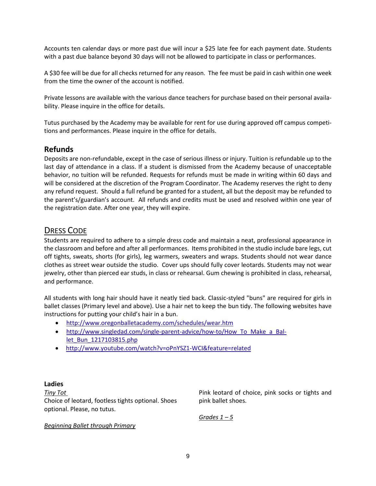Accounts ten calendar days or more past due will incur a \$25 late fee for each payment date. Students with a past due balance beyond 30 days will not be allowed to participate in class or performances.

A \$30 fee will be due for all checks returned for any reason. The fee must be paid in cash within one week from the time the owner of the account is notified.

Private lessons are available with the various dance teachers for purchase based on their personal availability. Please inquire in the office for details.

Tutus purchased by the Academy may be available for rent for use during approved off campus competitions and performances. Please inquire in the office for details.

### **Refunds**

Deposits are non-refundable, except in the case of serious illness or injury. Tuition is refundable up to the last day of attendance in a class. If a student is dismissed from the Academy because of unacceptable behavior, no tuition will be refunded. Requests for refunds must be made in writing within 60 days and will be considered at the discretion of the Program Coordinator. The Academy reserves the right to deny any refund request. Should a full refund be granted for a student, all but the deposit may be refunded to the parent's/guardian's account. All refunds and credits must be used and resolved within one year of the registration date. After one year, they will expire.

### DRESS CODE

Students are required to adhere to a simple dress code and maintain a neat, professional appearance in the classroom and before and after all performances. Items prohibited in the studio include bare legs, cut off tights, sweats, shorts (for girls), leg warmers, sweaters and wraps. Students should not wear dance clothes as street wear outside the studio. Cover ups should fully cover leotards. Students may not wear jewelry, other than pierced ear studs, in class or rehearsal. Gum chewing is prohibited in class, rehearsal, and performance.

All students with long hair should have it neatly tied back. Classic-styled "buns" are required for girls in ballet classes (Primary level and above). Use a hair net to keep the bun tidy. The following websites have instructions for putting your child's hair in a bun.

- <http://www.oregonballetacademy.com/schedules/wear.htm>
- [http://www.singledad.com/single-parent-advice/how-to/How\\_To\\_Make\\_a\\_Bal](http://www.singledad.com/single-parent-advice/how-to/How_To_Make_a_Ballet_Bun_1217103815.php)[let\\_Bun\\_1217103815.php](http://www.singledad.com/single-parent-advice/how-to/How_To_Make_a_Ballet_Bun_1217103815.php)
- <http://www.youtube.com/watch?v=oPnYSZ1-WCI&feature=related>

#### **Ladies**

*Tiny Tot* Choice of leotard, footless tights optional. Shoes optional. Please, no tutus.

Pink leotard of choice, pink socks or tights and pink ballet shoes.

*Grades 1 – 5*

*Beginning Ballet through Primary*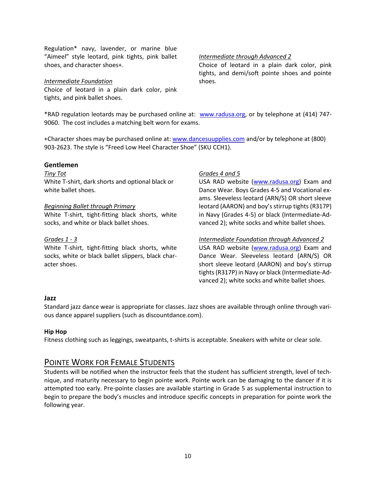Regulation\* navy, lavender, or marine blue "Aimeel" style leotard, pink tights, pink ballet shoes, and character shoes+.

#### *Intermediate Foundation*

Choice of leotard in a plain dark color, pink tights, and pink ballet shoes.

#### *Intermediate through Advanced 2*

Choice of leotard in a plain dark color, pink tights, and demi/soft pointe shoes and pointe shoes.

\*RAD regulation leotards may be purchased online at: [www.radusa.org,](http://www.radusa.org/) or by telephone at (414) 747- 9060. The cost includes a matching belt worn for exams.

+Character shoes may be purchased online at: [www.dancesuupplies.com](http://www.dancesuupplies.com/) and/or by telephone at (800) 903-2623. The style is "Freed Low Heel Character Shoe" (SKU CCH1).

#### **Gentlemen**

*Tiny Tot* White T-shirt, dark shorts and optional black or white ballet shoes.

#### *Beginning Ballet through Primary*

White T-shirt, tight-fitting black shorts, white socks, and white or black ballet shoes.

#### *Grades 1 - 3*

White T-shirt, tight-fitting black shorts, white socks, white or black ballet slippers, black character shoes.

#### *Grades 4 and 5*

USA RAD website [\(www.radusa.org\)](http://www.radusa.org/) Exam and Dance Wear. Boys Grades 4-5 and Vocational exams. Sleeveless leotard (ARN/S) OR short sleeve leotard (AARON) and boy's stirrup tights (R317P) in Navy (Grades 4-5) or black (Intermediate-Advanced 2); white socks and white ballet shoes.

#### *Intermediate Foundation through Advanced 2*

USA RAD website [\(www.radusa.org\)](http://www.radusa.org/) Exam and Dance Wear. Sleeveless leotard (ARN/S) OR short sleeve leotard (AARON) and boy's stirrup tights (R317P) in Navy or black (Intermediate-Advanced 2); white socks and white ballet shoes.

#### **Jazz**

Standard jazz dance wear is appropriate for classes. Jazz shoes are available through online through various dance apparel suppliers (such as discountdance.com).

#### **Hip Hop**

Fitness clothing such as leggings, sweatpants, t-shirts is acceptable. Sneakers with white or clear sole.

#### POINTE WORK FOR FEMALE STUDENTS

Students will be notified when the instructor feels that the student has sufficient strength, level of technique, and maturity necessary to begin pointe work. Pointe work can be damaging to the dancer if it is attempted too early. Pre-pointe classes are available starting in Grade 5 as supplemental instruction to begin to prepare the body's muscles and introduce specific concepts in preparation for pointe work the following year.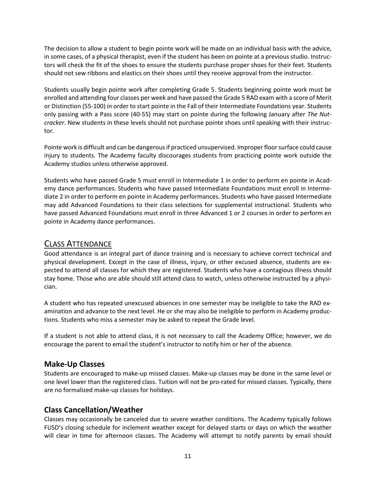The decision to allow a student to begin pointe work will be made on an individual basis with the advice, in some cases, of a physical therapist, even if the student has been on pointe at a previous studio. Instructors will check the fit of the shoes to ensure the students purchase proper shoes for their feet. Students should not sew ribbons and elastics on their shoes until they receive approval from the instructor.

Students usually begin pointe work after completing Grade 5. Students beginning pointe work must be enrolled and attending four classes per week and have passed the Grade 5 RAD exam with a score of Merit or Distinction (55-100) in order to start pointe in the Fall of their Intermediate Foundations year. Students only passing with a Pass score (40-55) may start on pointe during the following January after *The Nutcracker*. New students in these levels should not purchase pointe shoes until speaking with their instructor.

Pointe work is difficult and can be dangerous if practiced unsupervised. Improper floor surface could cause injury to students. The Academy faculty discourages students from practicing pointe work outside the Academy studios unless otherwise approved.

Students who have passed Grade 5 must enroll in Intermediate 1 in order to perform en pointe in Academy dance performances. Students who have passed Intermediate Foundations must enroll in Intermediate 2 in order to perform en pointe in Academy performances. Students who have passed Intermediate may add Advanced Foundations to their class selections for supplemental instructional. Students who have passed Advanced Foundations must enroll in three Advanced 1 or 2 courses in order to perform en pointe in Academy dance performances.

### CLASS ATTENDANCE

Good attendance is an integral part of dance training and is necessary to achieve correct technical and physical development. Except in the case of illness, injury, or other excused absence, students are expected to attend all classes for which they are registered. Students who have a contagious illness should stay home. Those who are able should still attend class to watch, unless otherwise instructed by a physician.

A student who has repeated unexcused absences in one semester may be ineligible to take the RAD examination and advance to the next level. He or she may also be ineligible to perform in Academy productions. Students who miss a semester may be asked to repeat the Grade level.

If a student is not able to attend class, it is not necessary to call the Academy Office; however, we do encourage the parent to email the student's instructor to notify him or her of the absence.

### **Make-Up Classes**

Students are encouraged to make-up missed classes. Make-up classes may be done in the same level or one level lower than the registered class. Tuition will not be pro-rated for missed classes. Typically, there are no formalized make-up classes for holidays.

### **Class Cancellation/Weather**

Classes may occasionally be canceled due to severe weather conditions. The Academy typically follows FUSD's closing schedule for inclement weather except for delayed starts or days on which the weather will clear in time for afternoon classes. The Academy will attempt to notify parents by email should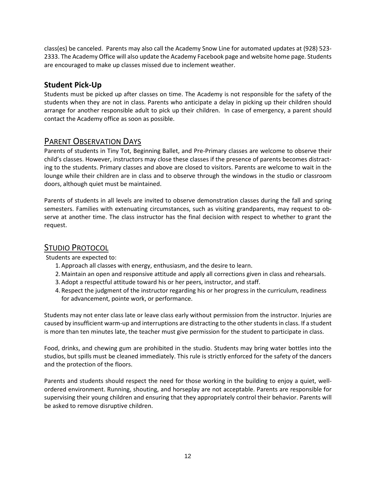class(es) be canceled. Parents may also call the Academy Snow Line for automated updates at (928) 523- 2333. The Academy Office will also update the Academy Facebook page and website home page. Students are encouraged to make up classes missed due to inclement weather.

### **Student Pick-Up**

Students must be picked up after classes on time. The Academy is not responsible for the safety of the students when they are not in class. Parents who anticipate a delay in picking up their children should arrange for another responsible adult to pick up their children. In case of emergency, a parent should contact the Academy office as soon as possible.

### PARENT OBSERVATION DAYS

Parents of students in Tiny Tot, Beginning Ballet, and Pre-Primary classes are welcome to observe their child's classes. However, instructors may close these classes if the presence of parents becomes distracting to the students. Primary classes and above are closed to visitors. Parents are welcome to wait in the lounge while their children are in class and to observe through the windows in the studio or classroom doors, although quiet must be maintained.

Parents of students in all levels are invited to observe demonstration classes during the fall and spring semesters. Families with extenuating circumstances, such as visiting grandparents, may request to observe at another time. The class instructor has the final decision with respect to whether to grant the request.

### STUDIO PROTOCOL

Students are expected to:

- 1.Approach all classes with energy, enthusiasm, and the desire to learn.
- 2.Maintain an open and responsive attitude and apply all corrections given in class and rehearsals.
- 3.Adopt a respectful attitude toward his or her peers, instructor, and staff.
- 4. Respect the judgment of the instructor regarding his or her progress in the curriculum, readiness for advancement, pointe work, or performance.

Students may not enter class late or leave class early without permission from the instructor. Injuries are caused by insufficient warm-up and interruptions are distracting to the other students in class. If a student is more than ten minutes late, the teacher must give permission for the student to participate in class.

Food, drinks, and chewing gum are prohibited in the studio. Students may bring water bottles into the studios, but spills must be cleaned immediately. This rule is strictly enforced for the safety of the dancers and the protection of the floors.

Parents and students should respect the need for those working in the building to enjoy a quiet, wellordered environment. Running, shouting, and horseplay are not acceptable. Parents are responsible for supervising their young children and ensuring that they appropriately control their behavior. Parents will be asked to remove disruptive children.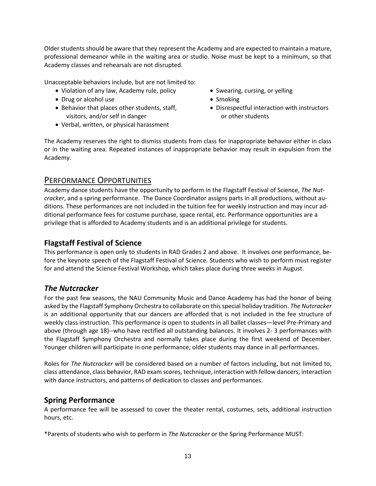Older students should be aware that they represent the Academy and are expected to maintain a mature, professional demeanor while in the waiting area or studio. Noise must be kept to a minimum, so that Academy classes and rehearsals are not disrupted.

Unacceptable behaviors include, but are not limited to:

- Violation of any law, Academy rule, policy
- Drug or alcohol use
- Behavior that places other students, staff, visitors, and/or self in danger
- Verbal, written, or physical harassment
- Swearing, cursing, or yelling
- Smoking
- Disrespectful interaction with instructors or other students

The Academy reserves the right to dismiss students from class for inappropriate behavior either in class or in the waiting area. Repeated instances of inappropriate behavior may result in expulsion from the Academy.

### PERFORMANCE OPPORTUNITIES

Academy dance students have the opportunity to perform in the Flagstaff Festival of Science, *The Nutcracker*, and a spring performance. The Dance Coordinator assigns parts in all productions, without auditions. These performances are not included in the tuition fee for weekly instruction and may incur additional performance fees for costume purchase, space rental, etc. Performance opportunities are a privilege that is afforded to Academy students and is an additional privilege for students.

### **Flagstaff Festival of Science**

This performance is open only to students in RAD Grades 2 and above. It involves one performance, before the keynote speech of the Flagstaff Festival of Science. Students who wish to perform must register for and attend the Science Festival Workshop, which takes place during three weeks in August.

### *The Nutcracker*

For the past few seasons, the NAU Community Music and Dance Academy has had the honor of being asked by the Flagstaff Symphony Orchestra to collaborate on this special holiday tradition. *The Nutcracker* is an additional opportunity that our dancers are afforded that is not included in the fee structure of weekly class instruction. This performance is open to students in all ballet classes—level Pre-Primary and above (through age 18)--who have rectified all outstanding balances. It involves 2- 3 performances with the Flagstaff Symphony Orchestra and normally takes place during the first weekend of December. Younger children will participate in one performance; older students may dance in all performances.

Roles for *The Nutcracker* will be considered based on a number of factors including, but not limited to, class attendance, class behavior, RAD exam scores, technique, interaction with fellow dancers, interaction with dance instructors, and patterns of dedication to classes and performances.

### **Spring Performance**

A performance fee will be assessed to cover the theater rental, costumes, sets, additional instruction hours, etc.

\*Parents of students who wish to perform in *The Nutcracker* or the Spring Performance MUST: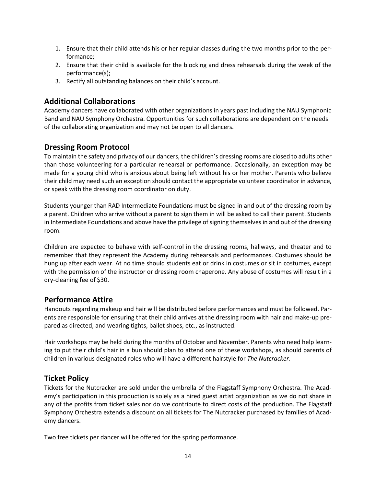- 1. Ensure that their child attends his or her regular classes during the two months prior to the performance;
- 2. Ensure that their child is available for the blocking and dress rehearsals during the week of the performance(s);
- 3. Rectify all outstanding balances on their child's account.

### **Additional Collaborations**

Academy dancers have collaborated with other organizations in years past including the NAU Symphonic Band and NAU Symphony Orchestra. Opportunities for such collaborations are dependent on the needs of the collaborating organization and may not be open to all dancers.

### **Dressing Room Protocol**

To maintain the safety and privacy of our dancers, the children's dressing rooms are closed to adults other than those volunteering for a particular rehearsal or performance. Occasionally, an exception may be made for a young child who is anxious about being left without his or her mother. Parents who believe their child may need such an exception should contact the appropriate volunteer coordinator in advance, or speak with the dressing room coordinator on duty.

Students younger than RAD Intermediate Foundations must be signed in and out of the dressing room by a parent. Children who arrive without a parent to sign them in will be asked to call their parent. Students in Intermediate Foundations and above have the privilege of signing themselves in and out of the dressing room.

Children are expected to behave with self-control in the dressing rooms, hallways, and theater and to remember that they represent the Academy during rehearsals and performances. Costumes should be hung up after each wear. At no time should students eat or drink in costumes or sit in costumes, except with the permission of the instructor or dressing room chaperone. Any abuse of costumes will result in a dry-cleaning fee of \$30.

#### **Performance Attire**

Handouts regarding makeup and hair will be distributed before performances and must be followed. Parents are responsible for ensuring that their child arrives at the dressing room with hair and make-up prepared as directed, and wearing tights, ballet shoes, etc., as instructed.

Hair workshops may be held during the months of October and November. Parents who need help learning to put their child's hair in a bun should plan to attend one of these workshops, as should parents of children in various designated roles who will have a different hairstyle for *The Nutcracker*.

### **Ticket Policy**

Tickets for the Nutcracker are sold under the umbrella of the Flagstaff Symphony Orchestra. The Academy's participation in this production is solely as a hired guest artist organization as we do not share in any of the profits from ticket sales nor do we contribute to direct costs of the production. The Flagstaff Symphony Orchestra extends a discount on all tickets for The Nutcracker purchased by families of Academy dancers.

Two free tickets per dancer will be offered for the spring performance.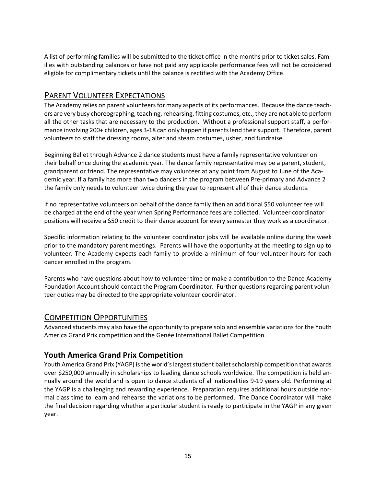A list of performing families will be submitted to the ticket office in the months prior to ticket sales. Families with outstanding balances or have not paid any applicable performance fees will not be considered eligible for complimentary tickets until the balance is rectified with the Academy Office.

### PARENT VOLUNTEER EXPECTATIONS

The Academy relies on parent volunteers for many aspects of its performances. Because the dance teachers are very busy choreographing, teaching, rehearsing, fitting costumes, etc., they are not able to perform all the other tasks that are necessary to the production. Without a professional support staff, a performance involving 200+ children, ages 3-18 can only happen if parents lend their support. Therefore, parent volunteers to staff the dressing rooms, alter and steam costumes, usher, and fundraise.

Beginning Ballet through Advance 2 dance students must have a family representative volunteer on their behalf once during the academic year. The dance family representative may be a parent, student, grandparent or friend. The representative may volunteer at any point from August to June of the Academic year. If a family has more than two dancers in the program between Pre-primary and Advance 2 the family only needs to volunteer twice during the year to represent all of their dance students.

If no representative volunteers on behalf of the dance family then an additional \$50 volunteer fee will be charged at the end of the year when Spring Performance fees are collected. Volunteer coordinator positions will receive a \$50 credit to their dance account for every semester they work as a coordinator.

Specific information relating to the volunteer coordinator jobs will be available online during the week prior to the mandatory parent meetings. Parents will have the opportunity at the meeting to sign up to volunteer. The Academy expects each family to provide a minimum of four volunteer hours for each dancer enrolled in the program.

Parents who have questions about how to volunteer time or make a contribution to the Dance Academy Foundation Account should contact the Program Coordinator. Further questions regarding parent volunteer duties may be directed to the appropriate volunteer coordinator.

#### COMPETITION OPPORTUNITIES

Advanced students may also have the opportunity to prepare solo and ensemble variations for the Youth America Grand Prix competition and the Genée International Ballet Competition.

### **Youth America Grand Prix Competition**

Youth America Grand Prix (YAGP) is the world's largest student ballet scholarship competition that awards over \$250,000 annually in scholarships to leading dance schools worldwide. The competition is held annually around the world and is open to dance students of all nationalities 9-19 years old. Performing at the YAGP is a challenging and rewarding experience. Preparation requires additional hours outside normal class time to learn and rehearse the variations to be performed. The Dance Coordinator will make the final decision regarding whether a particular student is ready to participate in the YAGP in any given year.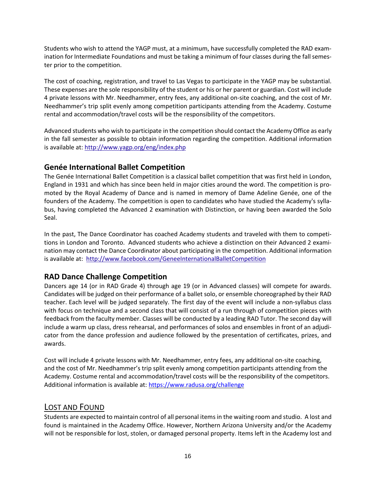Students who wish to attend the YAGP must, at a minimum, have successfully completed the RAD examination for Intermediate Foundations and must be taking a minimum of four classes during the fall semester prior to the competition.

The cost of coaching, registration, and travel to Las Vegas to participate in the YAGP may be substantial. These expenses are the sole responsibility of the student or his or her parent or guardian. Cost will include 4 private lessons with Mr. Needhammer, entry fees, any additional on-site coaching, and the cost of Mr. Needhammer's trip split evenly among competition participants attending from the Academy. Costume rental and accommodation/travel costs will be the responsibility of the competitors.

Advanced students who wish to participate in the competition should contact the Academy Office as early in the fall semester as possible to obtain information regarding the competition. Additional information is available at:<http://www.yagp.org/eng/index.php>

### **Genée International Ballet Competition**

The Genée International Ballet Competition is a classical ballet competition that was first held in London, England in 1931 and which has since been held in major cities around the word. The competition is promoted by the Royal Academy of Dance and is named in memory of Dame Adeline Genée, one of the founders of the Academy. The competition is open to candidates who have studied the Academy's syllabus, having completed the Advanced 2 examination with Distinction, or having been awarded the Solo Seal.

In the past, The Dance Coordinator has coached Academy students and traveled with them to competitions in London and Toronto. Advanced students who achieve a distinction on their Advanced 2 examination may contact the Dance Coordinator about participating in the competition. Additional information is available at: <http://www.facebook.com/GeneeInternationalBalletCompetition>

### **RAD Dance Challenge Competition**

Dancers age 14 (or in RAD Grade 4) through age 19 (or in Advanced classes) will compete for awards. Candidates will be judged on their performance of a ballet solo, or ensemble choreographed by their RAD teacher. Each level will be judged separately. The first day of the event will include a non-syllabus class with focus on technique and a second class that will consist of a run through of competition pieces with feedback from the faculty member. Classes will be conducted by a leading RAD Tutor. The second day will include a warm up class, dress rehearsal, and performances of solos and ensembles in front of an adjudicator from the dance profession and audience followed by the presentation of certificates, prizes, and awards.

Cost will include 4 private lessons with Mr. Needhammer, entry fees, any additional on-site coaching, and the cost of Mr. Needhammer's trip split evenly among competition participants attending from the Academy. Costume rental and accommodation/travel costs will be the responsibility of the competitors. Additional information is available at:<https://www.radusa.org/challenge>

### LOST AND FOUND

Students are expected to maintain control of all personal items in the waiting room and studio. A lost and found is maintained in the Academy Office. However, Northern Arizona University and/or the Academy will not be responsible for lost, stolen, or damaged personal property. Items left in the Academy lost and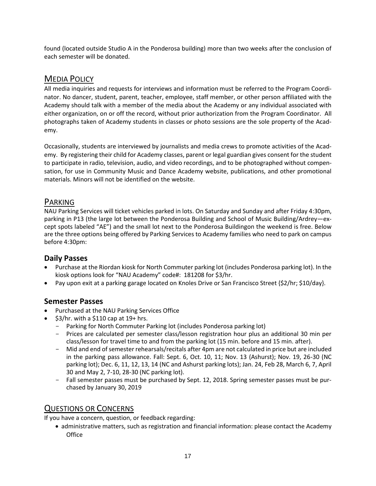found (located outside Studio A in the Ponderosa building) more than two weeks after the conclusion of each semester will be donated.

### MEDIA POLICY

All media inquiries and requests for interviews and information must be referred to the Program Coordinator. No dancer, student, parent, teacher, employee, staff member, or other person affiliated with the Academy should talk with a member of the media about the Academy or any individual associated with either organization, on or off the record, without prior authorization from the Program Coordinator. All photographs taken of Academy students in classes or photo sessions are the sole property of the Academy.

Occasionally, students are interviewed by journalists and media crews to promote activities of the Academy. By registering their child for Academy classes, parent or legal guardian gives consent for the student to participate in radio, television, audio, and video recordings, and to be photographed without compensation, for use in Community Music and Dance Academy website, publications, and other promotional materials. Minors will not be identified on the website.

### PARKING

NAU Parking Services will ticket vehicles parked in lots. On Saturday and Sunday and after Friday 4:30pm, parking in P13 (the large lot between the Ponderosa Building and School of Music Building/Ardrey—except spots labeled "AE") and the small lot next to the Ponderosa Buildingon the weekend is free. Below are the three options being offered by Parking Services to Academy families who need to park on campus before 4:30pm:

### **Daily Passes**

- Purchase at the Riordan kiosk for North Commuter parking lot (includes Ponderosa parking lot). In the kiosk options look for "NAU Academy" code#: 181208 for \$3/hr.
- Pay upon exit at a parking garage located on Knoles Drive or San Francisco Street {\$2/hr; \$10/day}.

### **Semester Passes**

- Purchased at the NAU Parking Services Office
- \$3/hr. with a \$110 cap at 19+ hrs.
	- Parking for North Commuter Parking lot (includes Ponderosa parking lot)
	- Prices are calculated per semester class/lesson registration hour plus an additional 30 min per class/lesson for travel time to and from the parking lot (15 min. before and 15 min. after).
	- Mid and end of semester rehearsals/recitals after 4pm are not calculated in price but are included in the parking pass allowance. Fall: Sept. 6, Oct. 10, 11; Nov. 13 (Ashurst); Nov. 19, 26-30 (NC parking lot); Dec. 6, 11, 12, 13, 14 (NC and Ashurst parking lots); Jan. 24, Feb 28, March 6, 7, April 30 and May 2, 7-10, 28-30 (NC parking lot).
	- Fall semester passes must be purchased by Sept. 12, 2018. Spring semester passes must be purchased by January 30, 2019

### QUESTIONS OR CONCERNS

If you have a concern, question, or feedback regarding:

 administrative matters, such as registration and financial information: please contact the Academy **Office**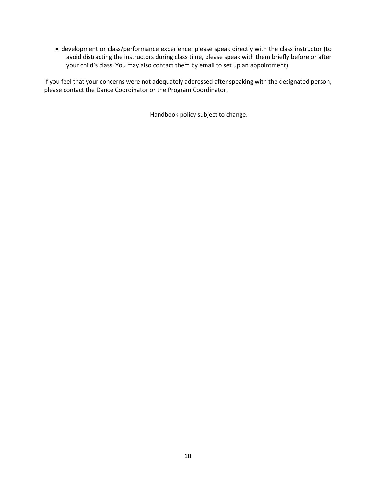development or class/performance experience: please speak directly with the class instructor (to avoid distracting the instructors during class time, please speak with them briefly before or after your child's class. You may also contact them by email to set up an appointment)

If you feel that your concerns were not adequately addressed after speaking with the designated person, please contact the Dance Coordinator or the Program Coordinator.

Handbook policy subject to change.